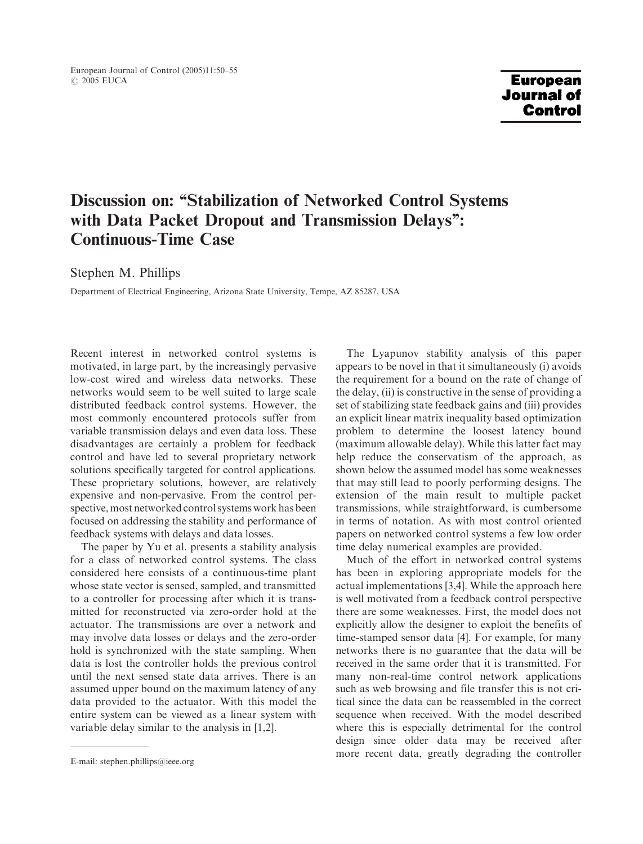European Journal of Control (2005)11:50–55 © 2005 EUCA

### **European Journal of Control**

# Discussion on: ''Stabilization of Networked Control Systems with Data Packet Dropout and Transmission Delays'': Continuous-Time Case

Stephen M. Phillips

Department of Electrical Engineering, Arizona State University, Tempe, AZ 85287, USA

Recent interest in networked control systems is motivated, in large part, by the increasingly pervasive low-cost wired and wireless data networks. These networks would seemto be well suited to large scale distributed feedback control systems. However, the most commonly encountered protocols suffer from variable transmission delays and even data loss. These disadvantages are certainly a problem for feedback control and have led to several proprietary network solutions specifically targeted for control applications. These proprietary solutions, however, are relatively expensive and non-pervasive. From the control perspective, most networked control systems work has been focused on addressing the stability and performance of feedback systems with delays and data losses.

The paper by Yu et al. presents a stability analysis for a class of networked control systems. The class considered here consists of a continuous-time plant whose state vector is sensed, sampled, and transmitted to a controller for processing after which it is transmitted for reconstructed via zero-order hold at the actuator. The transmissions are over a network and may involve data losses or delays and the zero-order hold is synchronized with the state sampling. When data is lost the controller holds the previous control until the next sensed state data arrives. There is an assumed upper bound on the maximum latency of any data provided to the actuator. With this model the entire system can be viewed as a linear system with variable delay similar to the analysis in [1,2].

The Lyapunov stability analysis of this paper appears to be novel in that it simultaneously (i) avoids the requirement for a bound on the rate of change of the delay, (ii) is constructive in the sense of providing a set of stabilizing state feedback gains and (iii) provides an explicit linear matrix inequality based optimization problem to determine the loosest latency bound (maximum allowable delay). While this latter fact may help reduce the conservatism of the approach, as shown below the assumed model has some weaknesses that may still lead to poorly performing designs. The extension of the main result to multiple packet transmissions, while straightforward, is cumbersome in terms of notation. As with most control oriented papers on networked control systems a few low order time delay numerical examples are provided.

Much of the effort in networked control systems has been in exploring appropriate models for the actual implementations [3,4]. While the approach here is well motivated from a feedback control perspective there are some weaknesses. First, the model does not explicitly allow the designer to exploit the benefits of time-stamped sensor data [4]. For example, for many networks there is no guarantee that the data will be received in the same order that it is transmitted. For many non-real-time control network applications such as web browsing and file transfer this is not critical since the data can be reassembled in the correct sequence when received. With the model described where this is especially detrimental for the control design since older data may be received after E-mail: stephen.phillips@ieee.org more recent data, greatly degrading the controller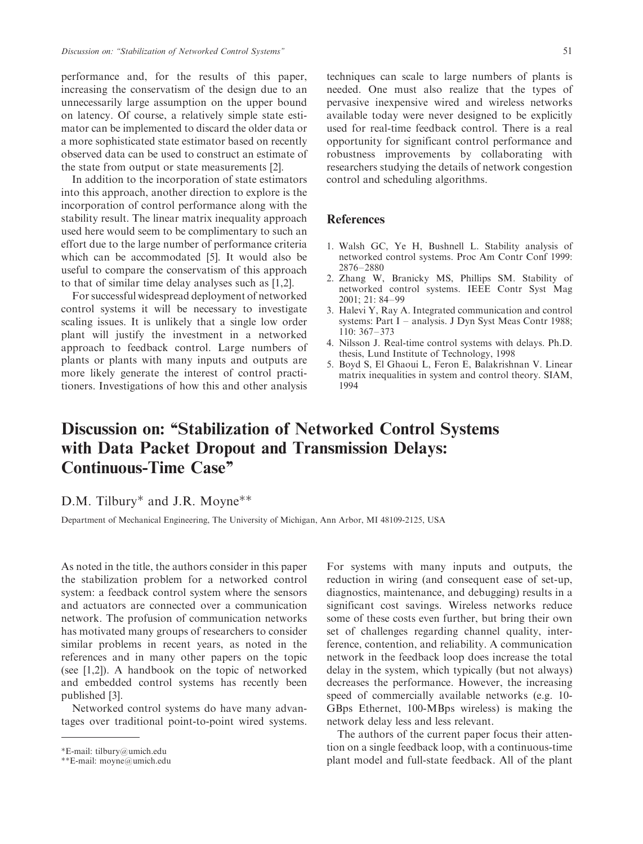performance and, for the results of this paper, increasing the conservatismof the design due to an unnecessarily large assumption on the upper bound on latency. Of course, a relatively simple state estimator can be implemented to discard the older data or a more sophisticated state estimator based on recently observed data can be used to construct an estimate of the state from output or state measurements [2].

In addition to the incorporation of state estimators into this approach, another direction to explore is the incorporation of control performance along with the stability result. The linear matrix inequality approach used here would seem to be complimentary to such an effort due to the large number of performance criteria which can be accommodated [5]. It would also be useful to compare the conservatism of this approach to that of similar time delay analyses such as [1,2].

For successful widespread deployment of networked control systems it will be necessary to investigate scaling issues. It is unlikely that a single low order plant will justify the investment in a networked approach to feedback control. Large numbers of plants or plants with many inputs and outputs are more likely generate the interest of control practitioners. Investigations of how this and other analysis

techniques can scale to large numbers of plants is needed. One must also realize that the types of pervasive inexpensive wired and wireless networks available today were never designed to be explicitly used for real-time feedback control. There is a real opportunity for significant control performance and robustness improvements by collaborating with researchers studying the details of network congestion control and scheduling algorithms.

#### **References**

- 1. Walsh GC, Ye H, Bushnell L. Stability analysis of networked control systems. Proc Am Contr Conf 1999: 2876–2880
- 2. Zhang W, Branicky MS, Phillips SM. Stability of networked control systems. IEEE Contr Syst Mag 2001; 21: 84–99
- 3. Halevi Y, Ray A. Integrated communication and control systems: Part I – analysis. J Dyn Syst Meas Contr 1988; 110: 367–373
- 4. Nilsson J. Real-time control systems with delays. Ph.D. thesis, Lund Institute of Technology, 1998
- 5. Boyd S, El Ghaoui L, Feron E, Balakrishnan V. Linear matrix inequalities in system and control theory. SIAM, 1994

## Discussion on: ''Stabilization of Networked Control Systems with Data Packet Dropout and Transmission Delays: Continuous-Time Case''

### D.M. Tilbury\* and J.R. Moyne\*\*

Department of Mechanical Engineering, The University of Michigan, Ann Arbor, MI 48109-2125, USA

As noted in the title, the authors consider in this paper the stabilization problem for a networked control system: a feedback control system where the sensors and actuators are connected over a communication network. The profusion of communication networks has motivated many groups of researchers to consider similar problems in recent years, as noted in the references and in many other papers on the topic (see [1,2]). A handbook on the topic of networked and embedded control systems has recently been published [3].

Networked control systems do have many advantages over traditional point-to-point wired systems.

For systems with many inputs and outputs, the reduction in wiring (and consequent ease of set-up, diagnostics, maintenance, and debugging) results in a significant cost savings. Wireless networks reduce some of these costs even further, but bring their own set of challenges regarding channel quality, interference, contention, and reliability. A communication network in the feedback loop does increase the total delay in the system, which typically (but not always) decreases the performance. However, the increasing speed of commercially available networks (e.g. 10- GBps Ethernet, 100-MBps wireless) is making the network delay less and less relevant.

The authors of the current paper focus their attention on a single feedback loop, with a continuous-time plant model and full-state feedback. All of the plant

E-mail: tilbury@umich.edu

E-mail: moyne@umich.edu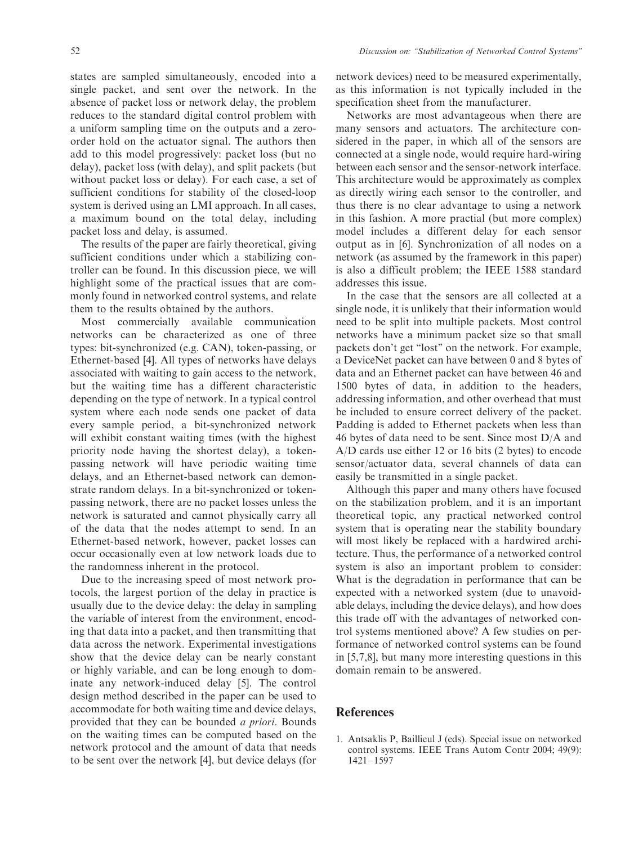states are sampled simultaneously, encoded into a single packet, and sent over the network. In the absence of packet loss or network delay, the problem reduces to the standard digital control problem with a uniform sampling time on the outputs and a zeroorder hold on the actuator signal. The authors then add to this model progressively: packet loss (but no delay), packet loss (with delay), and split packets (but without packet loss or delay). For each case, a set of sufficient conditions for stability of the closed-loop system is derived using an LMI approach. In all cases, a maximum bound on the total delay, including packet loss and delay, is assumed.

The results of the paper are fairly theoretical, giving sufficient conditions under which a stabilizing controller can be found. In this discussion piece, we will highlight some of the practical issues that are commonly found in networked control systems, and relate them to the results obtained by the authors.

Most commercially available communication networks can be characterized as one of three types: bit-synchronized (e.g. CAN), token-passing, or Ethernet-based [4]. All types of networks have delays associated with waiting to gain access to the network, but the waiting time has a different characteristic depending on the type of network. In a typical control system where each node sends one packet of data every sample period, a bit-synchronized network will exhibit constant waiting times (with the highest priority node having the shortest delay), a tokenpassing network will have periodic waiting time delays, and an Ethernet-based network can demonstrate random delays. In a bit-synchronized or tokenpassing network, there are no packet losses unless the network is saturated and cannot physically carry all of the data that the nodes attempt to send. In an Ethernet-based network, however, packet losses can occur occasionally even at low network loads due to the randomness inherent in the protocol.

Due to the increasing speed of most network protocols, the largest portion of the delay in practice is usually due to the device delay: the delay in sampling the variable of interest from the environment, encoding that data into a packet, and then transmitting that data across the network. Experimental investigations show that the device delay can be nearly constant or highly variable, and can be long enough to dominate any network-induced delay [5]. The control design method described in the paper can be used to accommodate for both waiting time and device delays, provided that they can be bounded a priori. Bounds on the waiting times can be computed based on the network protocol and the amount of data that needs to be sent over the network [4], but device delays (for network devices) need to be measured experimentally, as this information is not typically included in the specification sheet from the manufacturer.

Networks are most advantageous when there are many sensors and actuators. The architecture considered in the paper, in which all of the sensors are connected at a single node, would require hard-wiring between each sensor and the sensor-network interface. This architecture would be approximately as complex as directly wiring each sensor to the controller, and thus there is no clear advantage to using a network in this fashion. A more practial (but more complex) model includes a different delay for each sensor output as in [6]. Synchronization of all nodes on a network (as assumed by the framework in this paper) is also a difficult problem; the IEEE 1588 standard addresses this issue.

In the case that the sensors are all collected at a single node, it is unlikely that their information would need to be split into multiple packets. Most control networks have a minimum packet size so that small packets don't get ''lost'' on the network. For example, a DeviceNet packet can have between 0 and 8 bytes of data and an Ethernet packet can have between 46 and 1500 bytes of data, in addition to the headers, addressing information, and other overhead that must be included to ensure correct delivery of the packet. Padding is added to Ethernet packets when less than 46 bytes of data need to be sent. Since most D/A and A/D cards use either 12 or 16 bits (2 bytes) to encode sensor/actuator data, several channels of data can easily be transmitted in a single packet.

Although this paper and many others have focused on the stabilization problem, and it is an important theoretical topic, any practical networked control system that is operating near the stability boundary will most likely be replaced with a hardwired architecture. Thus, the performance of a networked control system is also an important problem to consider: What is the degradation in performance that can be expected with a networked system (due to unavoidable delays, including the device delays), and how does this trade off with the advantages of networked control systems mentioned above? A few studies on performance of networked control systems can be found in [5,7,8], but many more interesting questions in this domain remain to be answered.

#### References

1. Antsaklis P, Baillieul J (eds). Special issue on networked control systems. IEEE Trans Autom Contr 2004; 49(9): 1421–1597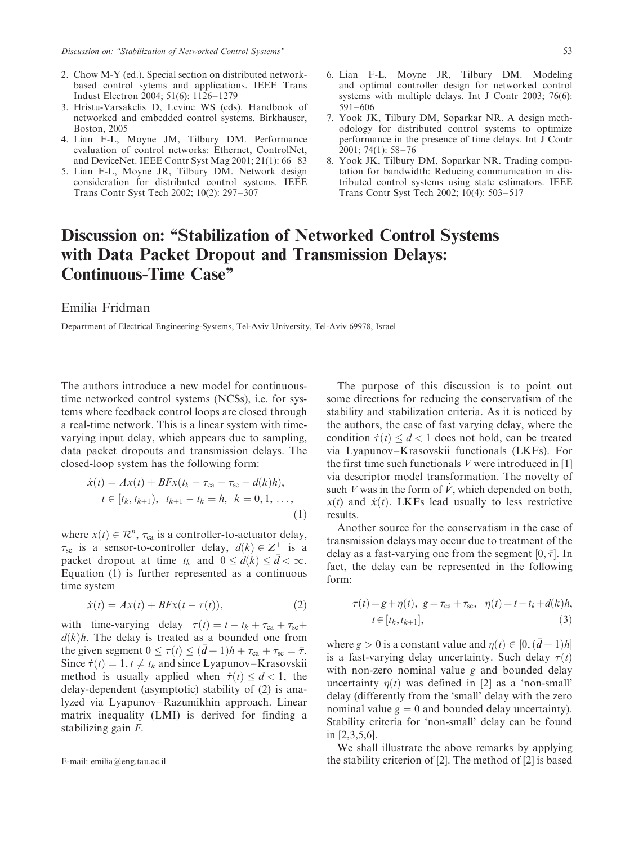- 2. Chow M-Y (ed.). Special section on distributed networkbased control sytems and applications. IEEE Trans Indust Electron 2004; 51(6): 1126–1279
- 3. Hristu-Varsakelis D, Levine WS (eds). Handbook of networked and embedded control systems. Birkhauser, Boston, 2005
- 4. Lian F-L, Moyne JM, Tilbury DM. Performance evaluation of control networks: Ethernet, ControlNet, and DeviceNet. IEEE Contr Syst Mag 2001; 21(1): 66–83
- 5. Lian F-L, Moyne JR, Tilbury DM. Network design consideration for distributed control systems. IEEE Trans Contr Syst Tech 2002; 10(2): 297–307
- 6. Lian F-L, Moyne JR, Tilbury DM. Modeling and optimal controller design for networked control systems with multiple delays. Int J Contr 2003; 76(6): 591–606
- 7. Yook JK, Tilbury DM, Soparkar NR. A design methodology for distributed control systems to optimize performance in the presence of time delays. Int J Contr 2001; 74(1): 58–76
- 8. Yook JK, Tilbury DM, Soparkar NR. Trading computation for bandwidth: Reducing communication in distributed control systems using state estimators. IEEE Trans Contr Syst Tech 2002; 10(4): 503–517

## Discussion on: ''Stabilization of Networked Control Systems with Data Packet Dropout and Transmission Delays: Continuous-Time Case''

#### Emilia Fridman

Department of Electrical Engineering-Systems, Tel-Aviv University, Tel-Aviv 69978, Israel

The authors introduce a new model for continuoustime networked control systems (NCSs), i.e. for systems where feedback control loops are closed through a real-time network. This is a linear system with timevarying input delay, which appears due to sampling, data packet dropouts and transmission delays. The closed-loop systemhas the following form:

$$
\dot{x}(t) = Ax(t) + BFx(t_k - \tau_{ca} - \tau_{sc} - d(k)h),
$$
  
\n
$$
t \in [t_k, t_{k+1}), \ t_{k+1} - t_k = h, \ k = 0, 1, ...,
$$
  
\n(1)

where  $x(t) \in \mathcal{R}^n$ ,  $\tau_{ca}$  is a controller-to-actuator delay,  $\tau_{\rm sc}$  is a sensor-to-controller delay,  $d(k) \in \mathbb{Z}^+$  is a packet dropout at time  $t_k$  and  $0 \le d(k) \le \bar{d} < \infty$ . Equation (1) is further represented as a continuous time system

$$
\dot{x}(t) = Ax(t) + BFx(t - \tau(t)),\tag{2}
$$

with time-varying delay  $\tau(t) = t - t_k + \tau_{ca} + \tau_{sc}$  $d(k)h$ . The delay is treated as a bounded one from the given segment  $0 \leq \tau(t) \leq (\bar{d} + 1)h + \tau_{\text{ca}} + \tau_{\text{sc}} = \bar{\tau}$ . Since  $\dot{\tau}(t) = 1, t \neq t_k$  and since Lyapunov–Krasovskii method is usually applied when  $\dot{\tau}(t) \leq d < 1$ , the delay-dependent (asymptotic) stability of (2) is analyzed via Lyapunov–Razumikhin approach. Linear matrix inequality (LMI) is derived for finding a stabilizing gain F.

The purpose of this discussion is to point out some directions for reducing the conservatism of the stability and stabilization criteria. As it is noticed by the authors, the case of fast varying delay, where the condition  $\dot{\tau}(t) \leq d < 1$  does not hold, can be treated via Lyapunov–Krasovskii functionals (LKFs). For the first time such functionals  $V$  were introduced in [1] via descriptor model transformation. The novelty of such V was in the form of V, which depended on both,  $x(t)$  and  $\dot{x}(t)$ . LKFs lead usually to less restrictive results.

Another source for the conservatism in the case of transmission delays may occur due to treatment of the delay as a fast-varying one from the segment  $[0, \bar{\tau}]$ . In fact, the delay can be represented in the following form:

$$
\tau(t) = g + \eta(t), \ g = \tau_{ca} + \tau_{sc}, \quad \eta(t) = t - t_k + d(k)h, \nt \in [t_k, t_{k+1}],
$$
\n(3)

where  $g > 0$  is a constant value and  $\eta(t) \in [0, (d+1)h]$ is a fast-varying delay uncertainty. Such delay  $\tau(t)$ with non-zero nominal value g and bounded delay uncertainty  $\eta(t)$  was defined in [2] as a 'non-small' delay (differently from the 'small' delay with the zero nominal value  $g = 0$  and bounded delay uncertainty). Stability criteria for 'non-small' delay can be found in [2,3,5,6].

We shall illustrate the above remarks by applying E-mail: emilia@eng.tau.ac.il the stability criterion of [2]. The method of [2] is based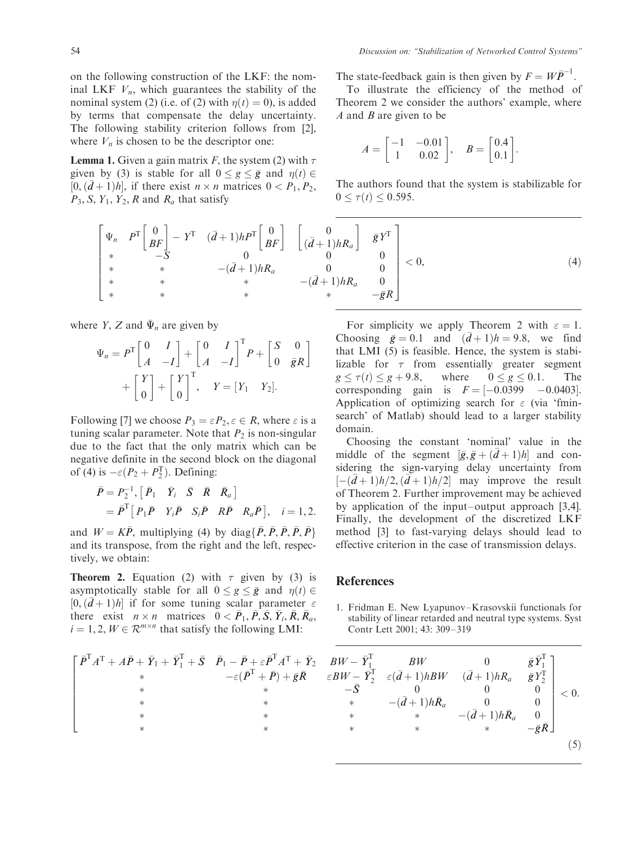on the following construction of the LKF: the nominal LKF  $V_n$ , which guarantees the stability of the nominal system (2) (i.e. of (2) with  $\eta(t) = 0$ ), is added by terms that compensate the delay uncertainty. The following stability criterion follows from [2], where  $V_n$  is chosen to be the descriptor one:

**Lemma 1.** Given a gain matrix F, the system (2) with  $\tau$ given by (3) is stable for all  $0 \le g \le \bar{g}$  and  $\eta(t) \in$  $[0, (d+1)h]$ , if there exist  $n \times n$  matrices  $0 < P_1, P_2$ ,  $P_3$ , S,  $Y_1$ ,  $Y_2$ , R and  $R_a$  that satisfy

The state-feedback gain is then given by  $F = W\overline{P}^{-1}$ .

To illustrate the efficiency of the method of Theorem 2 we consider the authors' example, where  $A$  and  $B$  are given to be

$$
A = \begin{bmatrix} -1 & -0.01 \\ 1 & 0.02 \end{bmatrix}, \quad B = \begin{bmatrix} 0.4 \\ 0.1 \end{bmatrix}.
$$

The authors found that the system is stabilizable for  $0 \leq \tau(t) \leq 0.595$ .

$$
\begin{bmatrix}\n\Psi_n & P^T \begin{bmatrix} 0 \\ BF \end{bmatrix} - Y^T & (\bar{d} + 1)h P^T \begin{bmatrix} 0 \\ BF \end{bmatrix} & \begin{bmatrix} 0 \\ (\bar{d} + 1)hR_a \end{bmatrix} & \bar{g} Y^T \\ \ast & \ast & -(\bar{d} + 1)hR_a & 0 & 0 \\ \ast & \ast & \ast & -(\bar{d} + 1)hR_a & 0 \\ \ast & \ast & \ast & -(\bar{d} + 1)hR_a & 0 \\ \ast & \ast & \ast & -\bar{g}R\n\end{bmatrix} < 0,\n\tag{4}
$$

where *Y*, *Z* and  $\bar{\Psi}_n$  are given by

$$
\Psi_n = P^{\text{T}} \begin{bmatrix} 0 & I \\ A & -I \end{bmatrix} + \begin{bmatrix} 0 & I \\ A & -I \end{bmatrix}^{\text{T}} P + \begin{bmatrix} S & 0 \\ 0 & \bar{g}R \end{bmatrix} + \begin{bmatrix} Y \\ 0 \end{bmatrix} + \begin{bmatrix} Y \\ 0 \end{bmatrix}^{\text{T}}, \quad Y = \begin{bmatrix} Y_1 & Y_2 \end{bmatrix}.
$$

Following [7] we choose  $P_3 = \varepsilon P_2, \varepsilon \in R$ , where  $\varepsilon$  is a tuning scalar parameter. Note that  $P_2$  is non-singular due to the fact that the only matrix which can be negative definite in the second block on the diagonal of (4) is  $-\varepsilon(P_2 + P_2^T)$ . Defining:

$$
\begin{aligned}\n\bar{P} &= P_2^{-1}, \left[ \bar{P}_1 & \bar{Y}_i & \bar{S} & \bar{R} & \bar{R}_a \right] \\
&= \bar{P}^T \left[ P_1 \bar{P} & Y_i \bar{P} & S_i \bar{P} & R \bar{P} & R_a \bar{P} \right], \quad i = 1, 2.\n\end{aligned}
$$

and  $W = K\overline{P}$ , multiplying (4) by diag{ $\overline{P}$ ,  $\overline{P}$ ,  $\overline{P}$ ,  $\overline{P}$ ,  $\overline{P}$ ,  $\overline{P}$ } and its transpose, from the right and the left, respectively, we obtain:

**Theorem 2.** Equation (2) with  $\tau$  given by (3) is asymptotically stable for all  $0 \le g \le \bar{g}$  and  $\eta(t) \in$  $[0, (\bar{d}+1)h]$  if for some tuning scalar parameter  $\varepsilon$ there exist  $n \times n$  matrices  $0 < \bar{P}_1, \bar{P}, \bar{S}, \bar{Y}_i, \bar{R}, \bar{R}_a$ ,  $i = 1, 2, W \in \mathbb{R}^{m \times n}$  that satisfy the following LMI:

For simplicity we apply Theorem 2 with  $\varepsilon = 1$ . Choosing  $\bar{g} = 0.1$  and  $(\bar{d} + 1)h = 9.8$ , we find that LMI  $(5)$  is feasible. Hence, the system is stabilizable for  $\tau$  from essentially greater segment  $g \leq \tau(t) \leq g + 9.8$ , where  $0 \leq$  $\leq g \leq 0.1$ . The corresponding gain is  $F = [-0.0399 \quad -0.0403]$ . Application of optimizing search for  $\varepsilon$  (via 'fminsearch' of Matlab) should lead to a larger stability domain.

Choosing the constant 'nominal' value in the middle of the segment  $[\bar{g}, \bar{g} + (d+1)h]$  and considering the sign-varying delay uncertainty from  $[-(\bar{d}+1)h/2,(\bar{d}+1)h/2]$  may improve the result of Theorem 2. Further improvement may be achieved by application of the input–output approach [3,4]. Finally, the development of the discretized LKF method [3] to fast-varying delays should lead to effective criterion in the case of transmission delays.

#### References

1. Fridman E. New Lyapunov–Krasovskii functionals for stability of linear retarded and neutral type systems. Syst Contr Lett 2001; 43: 309–319

$$
\begin{bmatrix}\n\bar{P}^{T} A^{T} + A\bar{P} + \bar{Y}_{1} + \bar{Y}_{1}^{T} + \bar{S} & \bar{P}_{1} - \bar{P} + \varepsilon \bar{P}^{T} A^{T} + \bar{Y}_{2} & BW - \bar{Y}_{1}^{T} & BW & 0 & \bar{g} \, \bar{Y}_{1}^{T} \\
\ast & -\varepsilon (\bar{P}^{T} + \bar{P}) + \bar{g} \bar{R} & \varepsilon BW - \bar{Y}_{2}^{T} & \varepsilon (\bar{d} + 1) hBW & (\bar{d} + 1) hR_{a} & \bar{g} \, Y_{2}^{T} \\
\ast & \ast & -\bar{S} & 0 & 0 & 0 \\
\ast & \ast & \ast & -(\bar{d} + 1) h \bar{R}_{a} & 0 & 0 \\
\ast & \ast & \ast & \ast & -(\bar{d} + 1) h \bar{R}_{a} & 0 \\
\ast & \ast & \ast & \ast & -\bar{g} \bar{R}\n\end{bmatrix} < 0.
$$
\n(5)